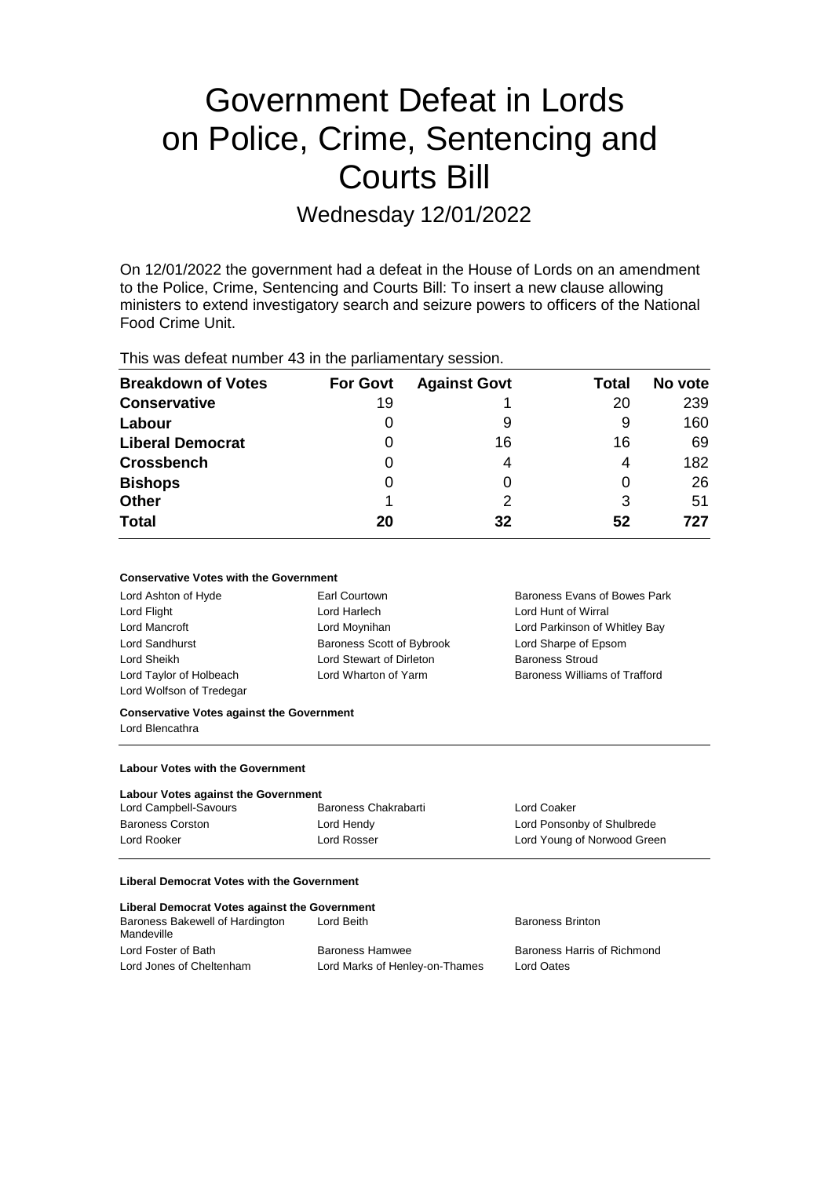# Government Defeat in Lords on Police, Crime, Sentencing and Courts Bill

Wednesday 12/01/2022

On 12/01/2022 the government had a defeat in the House of Lords on an amendment to the Police, Crime, Sentencing and Courts Bill: To insert a new clause allowing ministers to extend investigatory search and seizure powers to officers of the National Food Crime Unit.

This was defeat number 43 in the parliamentary session.

| <b>Breakdown of Votes</b> | <b>For Govt</b> | <b>Against Govt</b> | Total | No vote |
|---------------------------|-----------------|---------------------|-------|---------|
| <b>Conservative</b>       | 19              |                     | 20    | 239     |
| Labour                    | 0               | 9                   | 9     | 160     |
| <b>Liberal Democrat</b>   | 0               | 16                  | 16    | 69      |
| <b>Crossbench</b>         | 0               | 4                   | 4     | 182     |
| <b>Bishops</b>            | 0               |                     |       | 26      |
| <b>Other</b>              |                 | 2                   | 3     | 51      |
| <b>Total</b>              | 20              | 32                  | 52    | 727     |

## **Conservative Votes with the Government**

| Lord Ashton of Hyde      | Earl Courtown             | Baroness Evans of Bowes Park  |
|--------------------------|---------------------------|-------------------------------|
| Lord Flight              | Lord Harlech              | Lord Hunt of Wirral           |
| Lord Mancroft            | Lord Moynihan             | Lord Parkinson of Whitley Bay |
| Lord Sandhurst           | Baroness Scott of Bybrook | Lord Sharpe of Epsom          |
| Lord Sheikh              | Lord Stewart of Dirleton  | <b>Baroness Stroud</b>        |
| Lord Taylor of Holbeach  | Lord Wharton of Yarm      | Baroness Williams of Trafford |
| Lord Wolfson of Tredegar |                           |                               |

#### **Conservative Votes against the Government** Lord Blencathra

**Labour Votes with the Government**

#### **Labour Votes against the Government**

| Lord Campbell-Savours   | Baroness Chakrabarti | Lord Coaker                 |
|-------------------------|----------------------|-----------------------------|
| <b>Baroness Corston</b> | Lord Hendy           | Lord Ponsonby of Shulbrede  |
| Lord Rooker             | Lord Rosser          | Lord Young of Norwood Green |

### **Liberal Democrat Votes with the Government**

| Liberal Democrat Votes against the Government |                                |                             |  |  |
|-----------------------------------------------|--------------------------------|-----------------------------|--|--|
| Baroness Bakewell of Hardington<br>Mandeville | Lord Beith                     | <b>Baroness Brinton</b>     |  |  |
| Lord Foster of Bath                           | <b>Baroness Hamwee</b>         | Baroness Harris of Richmond |  |  |
| Lord Jones of Cheltenham                      | Lord Marks of Henley-on-Thames | Lord Oates                  |  |  |